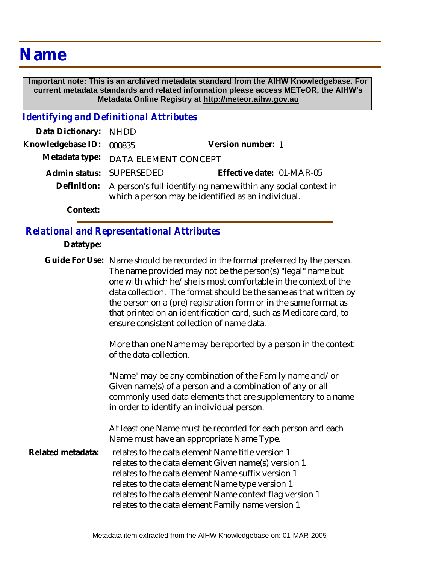## **Name**

 **Important note: This is an archived metadata standard from the AIHW Knowledgebase. For current metadata standards and related information please access METeOR, the AIHW's Metadata Online Registry at http://meteor.aihw.gov.au**

*Identifying and Definitional Attributes*

| Data Dictionary: NHDD    |                                                                                                                                 |                           |
|--------------------------|---------------------------------------------------------------------------------------------------------------------------------|---------------------------|
| Knowledgebase ID: 000835 |                                                                                                                                 | Version number: 1         |
|                          | Metadata type: DATA ELEMENT CONCEPT                                                                                             |                           |
|                          | Admin status: SUPERSEDED                                                                                                        | Effective date: 01-MAR-05 |
|                          | Definition: A person's full identifying name within any social context in<br>which a person may be identified as an individual. |                           |
| Context:                 |                                                                                                                                 |                           |

## *Relational and Representational Attributes*

**Datatype:**

|                   | Guide For Use: Name should be recorded in the format preferred by the person.<br>The name provided may not be the person(s) "legal" name but<br>one with which he/she is most comfortable in the context of the<br>data collection. The format should be the same as that written by<br>the person on a (pre) registration form or in the same format as<br>that printed on an identification card, such as Medicare card, to<br>ensure consistent collection of name data. |
|-------------------|-----------------------------------------------------------------------------------------------------------------------------------------------------------------------------------------------------------------------------------------------------------------------------------------------------------------------------------------------------------------------------------------------------------------------------------------------------------------------------|
|                   | More than one Name may be reported by a person in the context<br>of the data collection.                                                                                                                                                                                                                                                                                                                                                                                    |
|                   | "Name" may be any combination of the Family name and/or<br>Given name(s) of a person and a combination of any or all<br>commonly used data elements that are supplementary to a name<br>in order to identify an individual person.                                                                                                                                                                                                                                          |
|                   | At least one Name must be recorded for each person and each<br>Name must have an appropriate Name Type.                                                                                                                                                                                                                                                                                                                                                                     |
| Related metadata: | relates to the data element Name title version 1<br>relates to the data element Given name(s) version 1<br>relates to the data element Name suffix version 1<br>relates to the data element Name type version 1<br>relates to the data element Name context flag version 1<br>relates to the data element Family name version 1                                                                                                                                             |